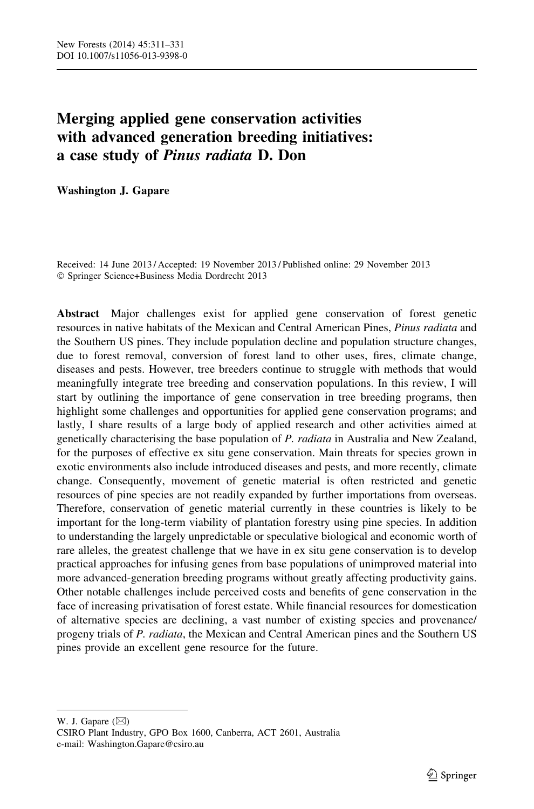# Merging applied gene conservation activities with advanced generation breeding initiatives: a case study of Pinus radiata D. Don

Washington J. Gapare

Received: 14 June 2013 / Accepted: 19 November 2013 / Published online: 29 November 2013 - Springer Science+Business Media Dordrecht 2013

Abstract Major challenges exist for applied gene conservation of forest genetic resources in native habitats of the Mexican and Central American Pines, *Pinus radiata* and the Southern US pines. They include population decline and population structure changes, due to forest removal, conversion of forest land to other uses, fires, climate change, diseases and pests. However, tree breeders continue to struggle with methods that would meaningfully integrate tree breeding and conservation populations. In this review, I will start by outlining the importance of gene conservation in tree breeding programs, then highlight some challenges and opportunities for applied gene conservation programs; and lastly, I share results of a large body of applied research and other activities aimed at genetically characterising the base population of P. radiata in Australia and New Zealand, for the purposes of effective ex situ gene conservation. Main threats for species grown in exotic environments also include introduced diseases and pests, and more recently, climate change. Consequently, movement of genetic material is often restricted and genetic resources of pine species are not readily expanded by further importations from overseas. Therefore, conservation of genetic material currently in these countries is likely to be important for the long-term viability of plantation forestry using pine species. In addition to understanding the largely unpredictable or speculative biological and economic worth of rare alleles, the greatest challenge that we have in ex situ gene conservation is to develop practical approaches for infusing genes from base populations of unimproved material into more advanced-generation breeding programs without greatly affecting productivity gains. Other notable challenges include perceived costs and benefits of gene conservation in the face of increasing privatisation of forest estate. While financial resources for domestication of alternative species are declining, a vast number of existing species and provenance/ progeny trials of P. radiata, the Mexican and Central American pines and the Southern US pines provide an excellent gene resource for the future.

W. J. Gapare  $(\boxtimes)$ CSIRO Plant Industry, GPO Box 1600, Canberra, ACT 2601, Australia e-mail: Washington.Gapare@csiro.au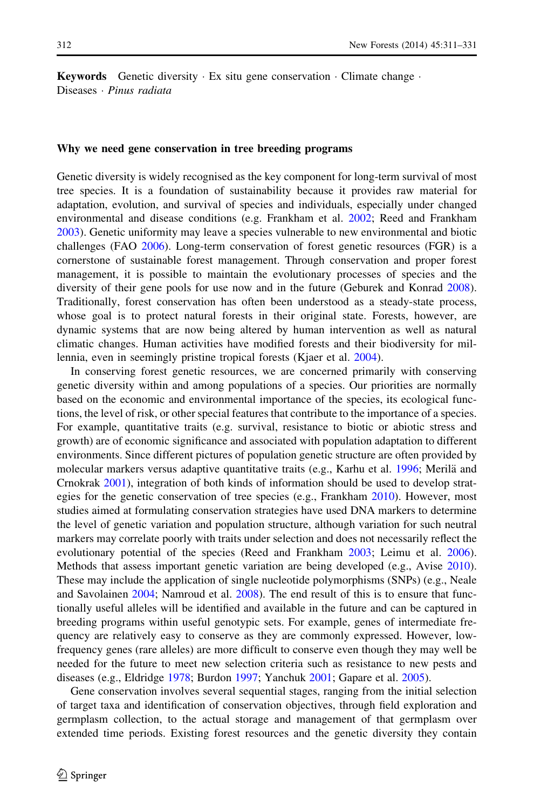**Keywords** Genetic diversity  $\cdot$  Ex situ gene conservation  $\cdot$  Climate change  $\cdot$ Diseases *· Pinus radiata* 

#### Why we need gene conservation in tree breeding programs

Genetic diversity is widely recognised as the key component for long-term survival of most tree species. It is a foundation of sustainability because it provides raw material for adaptation, evolution, and survival of species and individuals, especially under changed environmental and disease conditions (e.g. Frankham et al. [2002;](#page-17-0) Reed and Frankham [2003\)](#page-19-0). Genetic uniformity may leave a species vulnerable to new environmental and biotic challenges (FAO [2006](#page-17-0)). Long-term conservation of forest genetic resources (FGR) is a cornerstone of sustainable forest management. Through conservation and proper forest management, it is possible to maintain the evolutionary processes of species and the diversity of their gene pools for use now and in the future (Geburek and Konrad [2008](#page-18-0)). Traditionally, forest conservation has often been understood as a steady-state process, whose goal is to protect natural forests in their original state. Forests, however, are dynamic systems that are now being altered by human intervention as well as natural climatic changes. Human activities have modified forests and their biodiversity for millennia, even in seemingly pristine tropical forests (Kjaer et al. [2004](#page-18-0)).

In conserving forest genetic resources, we are concerned primarily with conserving genetic diversity within and among populations of a species. Our priorities are normally based on the economic and environmental importance of the species, its ecological functions, the level of risk, or other special features that contribute to the importance of a species. For example, quantitative traits (e.g. survival, resistance to biotic or abiotic stress and growth) are of economic significance and associated with population adaptation to different environments. Since different pictures of population genetic structure are often provided by molecular markers versus adaptive quantitative traits (e.g., Karhu et al.  $1996$ ; Merila and Crnokrak [2001](#page-19-0)), integration of both kinds of information should be used to develop strategies for the genetic conservation of tree species (e.g., Frankham [2010\)](#page-17-0). However, most studies aimed at formulating conservation strategies have used DNA markers to determine the level of genetic variation and population structure, although variation for such neutral markers may correlate poorly with traits under selection and does not necessarily reflect the evolutionary potential of the species (Reed and Frankham [2003;](#page-19-0) Leimu et al. [2006](#page-18-0)). Methods that assess important genetic variation are being developed (e.g., Avise [2010](#page-16-0)). These may include the application of single nucleotide polymorphisms (SNPs) (e.g., Neale and Savolainen [2004;](#page-19-0) Namroud et al. [2008](#page-19-0)). The end result of this is to ensure that functionally useful alleles will be identified and available in the future and can be captured in breeding programs within useful genotypic sets. For example, genes of intermediate frequency are relatively easy to conserve as they are commonly expressed. However, lowfrequency genes (rare alleles) are more difficult to conserve even though they may well be needed for the future to meet new selection criteria such as resistance to new pests and diseases (e.g., Eldridge [1978;](#page-17-0) Burdon [1997](#page-16-0); Yanchuk [2001;](#page-20-0) Gapare et al. [2005\)](#page-17-0).

Gene conservation involves several sequential stages, ranging from the initial selection of target taxa and identification of conservation objectives, through field exploration and germplasm collection, to the actual storage and management of that germplasm over extended time periods. Existing forest resources and the genetic diversity they contain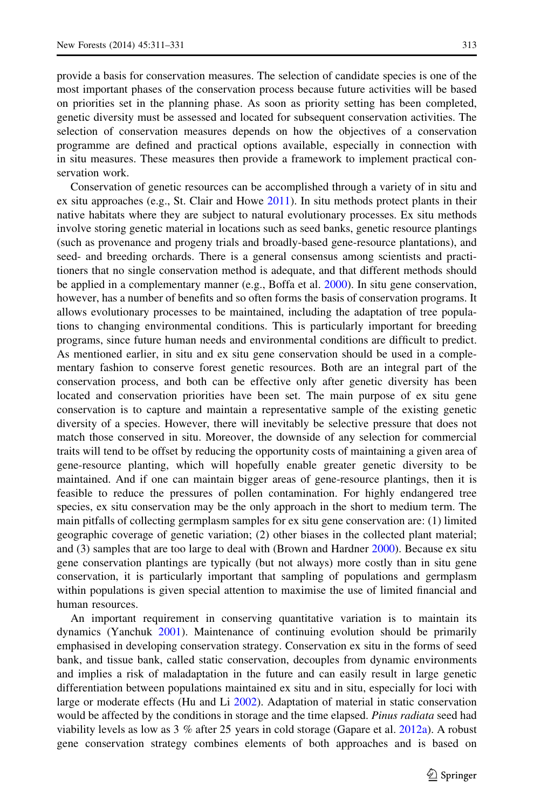provide a basis for conservation measures. The selection of candidate species is one of the most important phases of the conservation process because future activities will be based on priorities set in the planning phase. As soon as priority setting has been completed, genetic diversity must be assessed and located for subsequent conservation activities. The selection of conservation measures depends on how the objectives of a conservation programme are defined and practical options available, especially in connection with in situ measures. These measures then provide a framework to implement practical conservation work.

Conservation of genetic resources can be accomplished through a variety of in situ and ex situ approaches (e.g., St. Clair and Howe [2011](#page-19-0)). In situ methods protect plants in their native habitats where they are subject to natural evolutionary processes. Ex situ methods involve storing genetic material in locations such as seed banks, genetic resource plantings (such as provenance and progeny trials and broadly-based gene-resource plantations), and seed- and breeding orchards. There is a general consensus among scientists and practitioners that no single conservation method is adequate, and that different methods should be applied in a complementary manner (e.g., Boffa et al. [2000\)](#page-16-0). In situ gene conservation, however, has a number of benefits and so often forms the basis of conservation programs. It allows evolutionary processes to be maintained, including the adaptation of tree populations to changing environmental conditions. This is particularly important for breeding programs, since future human needs and environmental conditions are difficult to predict. As mentioned earlier, in situ and ex situ gene conservation should be used in a complementary fashion to conserve forest genetic resources. Both are an integral part of the conservation process, and both can be effective only after genetic diversity has been located and conservation priorities have been set. The main purpose of ex situ gene conservation is to capture and maintain a representative sample of the existing genetic diversity of a species. However, there will inevitably be selective pressure that does not match those conserved in situ. Moreover, the downside of any selection for commercial traits will tend to be offset by reducing the opportunity costs of maintaining a given area of gene-resource planting, which will hopefully enable greater genetic diversity to be maintained. And if one can maintain bigger areas of gene-resource plantings, then it is feasible to reduce the pressures of pollen contamination. For highly endangered tree species, ex situ conservation may be the only approach in the short to medium term. The main pitfalls of collecting germplasm samples for ex situ gene conservation are: (1) limited geographic coverage of genetic variation; (2) other biases in the collected plant material; and (3) samples that are too large to deal with (Brown and Hardner [2000](#page-16-0)). Because ex situ gene conservation plantings are typically (but not always) more costly than in situ gene conservation, it is particularly important that sampling of populations and germplasm within populations is given special attention to maximise the use of limited financial and human resources.

An important requirement in conserving quantitative variation is to maintain its dynamics (Yanchuk [2001](#page-20-0)). Maintenance of continuing evolution should be primarily emphasised in developing conservation strategy. Conservation ex situ in the forms of seed bank, and tissue bank, called static conservation, decouples from dynamic environments and implies a risk of maladaptation in the future and can easily result in large genetic differentiation between populations maintained ex situ and in situ, especially for loci with large or moderate effects (Hu and Li [2002\)](#page-18-0). Adaptation of material in static conservation would be affected by the conditions in storage and the time elapsed. Pinus radiata seed had viability levels as low as  $3\%$  after 25 years in cold storage (Gapare et al. [2012a\)](#page-18-0). A robust gene conservation strategy combines elements of both approaches and is based on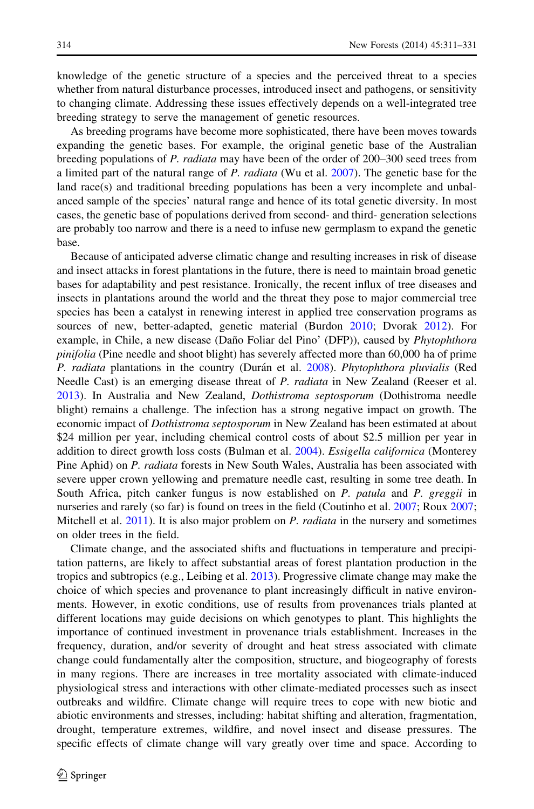knowledge of the genetic structure of a species and the perceived threat to a species whether from natural disturbance processes, introduced insect and pathogens, or sensitivity to changing climate. Addressing these issues effectively depends on a well-integrated tree breeding strategy to serve the management of genetic resources.

As breeding programs have become more sophisticated, there have been moves towards expanding the genetic bases. For example, the original genetic base of the Australian breeding populations of P. radiata may have been of the order of 200–300 seed trees from a limited part of the natural range of P. radiata (Wu et al. [2007\)](#page-20-0). The genetic base for the land race(s) and traditional breeding populations has been a very incomplete and unbalanced sample of the species' natural range and hence of its total genetic diversity. In most cases, the genetic base of populations derived from second- and third- generation selections are probably too narrow and there is a need to infuse new germplasm to expand the genetic base.

Because of anticipated adverse climatic change and resulting increases in risk of disease and insect attacks in forest plantations in the future, there is need to maintain broad genetic bases for adaptability and pest resistance. Ironically, the recent influx of tree diseases and insects in plantations around the world and the threat they pose to major commercial tree species has been a catalyst in renewing interest in applied tree conservation programs as sources of new, better-adapted, genetic material (Burdon [2010;](#page-16-0) Dvorak [2012](#page-17-0)). For example, in Chile, a new disease (Daño Foliar del Pino' (DFP)), caused by Phytophthora pinifolia (Pine needle and shoot blight) has severely affected more than 60,000 ha of prime P. radiata plantations in the country (Durán et al. [2008](#page-17-0)). Phytophthora pluvialis (Red Needle Cast) is an emerging disease threat of P. radiata in New Zealand (Reeser et al. [2013\)](#page-19-0). In Australia and New Zealand, Dothistroma septosporum (Dothistroma needle blight) remains a challenge. The infection has a strong negative impact on growth. The economic impact of *Dothistroma septosporum* in New Zealand has been estimated at about \$24 million per year, including chemical control costs of about \$2.5 million per year in addition to direct growth loss costs (Bulman et al. [2004\)](#page-16-0). Essigella californica (Monterey Pine Aphid) on P. radiata forests in New South Wales, Australia has been associated with severe upper crown yellowing and premature needle cast, resulting in some tree death. In South Africa, pitch canker fungus is now established on P. patula and P. greggii in nurseries and rarely (so far) is found on trees in the field (Coutinho et al. [2007](#page-17-0); Roux [2007;](#page-19-0) Mitchell et al. [2011](#page-19-0)). It is also major problem on P. *radiata* in the nursery and sometimes on older trees in the field.

Climate change, and the associated shifts and fluctuations in temperature and precipitation patterns, are likely to affect substantial areas of forest plantation production in the tropics and subtropics (e.g., Leibing et al. [2013](#page-18-0)). Progressive climate change may make the choice of which species and provenance to plant increasingly difficult in native environments. However, in exotic conditions, use of results from provenances trials planted at different locations may guide decisions on which genotypes to plant. This highlights the importance of continued investment in provenance trials establishment. Increases in the frequency, duration, and/or severity of drought and heat stress associated with climate change could fundamentally alter the composition, structure, and biogeography of forests in many regions. There are increases in tree mortality associated with climate-induced physiological stress and interactions with other climate-mediated processes such as insect outbreaks and wildfire. Climate change will require trees to cope with new biotic and abiotic environments and stresses, including: habitat shifting and alteration, fragmentation, drought, temperature extremes, wildfire, and novel insect and disease pressures. The specific effects of climate change will vary greatly over time and space. According to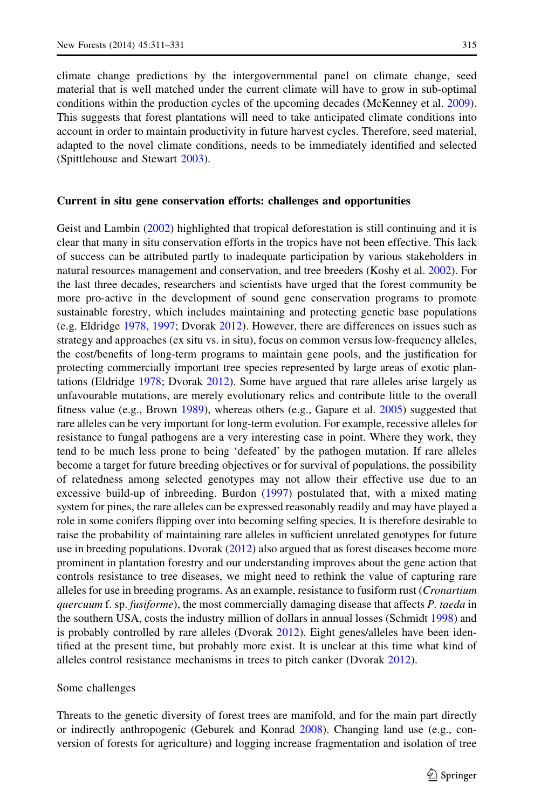climate change predictions by the intergovernmental panel on climate change, seed material that is well matched under the current climate will have to grow in sub-optimal conditions within the production cycles of the upcoming decades (McKenney et al. [2009](#page-19-0)). This suggests that forest plantations will need to take anticipated climate conditions into account in order to maintain productivity in future harvest cycles. Therefore, seed material, adapted to the novel climate conditions, needs to be immediately identified and selected (Spittlehouse and Stewart [2003\)](#page-19-0).

## Current in situ gene conservation efforts: challenges and opportunities

Geist and Lambin [\(2002](#page-18-0)) highlighted that tropical deforestation is still continuing and it is clear that many in situ conservation efforts in the tropics have not been effective. This lack of success can be attributed partly to inadequate participation by various stakeholders in natural resources management and conservation, and tree breeders (Koshy et al. [2002\)](#page-18-0). For the last three decades, researchers and scientists have urged that the forest community be more pro-active in the development of sound gene conservation programs to promote sustainable forestry, which includes maintaining and protecting genetic base populations (e.g. Eldridge [1978](#page-17-0), [1997](#page-17-0); Dvorak [2012](#page-17-0)). However, there are differences on issues such as strategy and approaches (ex situ vs. in situ), focus on common versus low-frequency alleles, the cost/benefits of long-term programs to maintain gene pools, and the justification for protecting commercially important tree species represented by large areas of exotic plantations (Eldridge [1978;](#page-17-0) Dvorak [2012\)](#page-17-0). Some have argued that rare alleles arise largely as unfavourable mutations, are merely evolutionary relics and contribute little to the overall fitness value (e.g., Brown [1989\)](#page-16-0), whereas others (e.g., Gapare et al. [2005](#page-17-0)) suggested that rare alleles can be very important for long-term evolution. For example, recessive alleles for resistance to fungal pathogens are a very interesting case in point. Where they work, they tend to be much less prone to being 'defeated' by the pathogen mutation. If rare alleles become a target for future breeding objectives or for survival of populations, the possibility of relatedness among selected genotypes may not allow their effective use due to an excessive build-up of inbreeding. Burdon ([1997](#page-16-0)) postulated that, with a mixed mating system for pines, the rare alleles can be expressed reasonably readily and may have played a role in some conifers flipping over into becoming selfing species. It is therefore desirable to raise the probability of maintaining rare alleles in sufficient unrelated genotypes for future use in breeding populations. Dvorak ([2012\)](#page-17-0) also argued that as forest diseases become more prominent in plantation forestry and our understanding improves about the gene action that controls resistance to tree diseases, we might need to rethink the value of capturing rare alleles for use in breeding programs. As an example, resistance to fusiform rust (*Cronartium* quercuum f. sp. fusiforme), the most commercially damaging disease that affects P. taeda in the southern USA, costs the industry million of dollars in annual losses (Schmidt [1998](#page-19-0)) and is probably controlled by rare alleles (Dvorak [2012\)](#page-17-0). Eight genes/alleles have been identified at the present time, but probably more exist. It is unclear at this time what kind of alleles control resistance mechanisms in trees to pitch canker (Dvorak [2012](#page-17-0)).

## Some challenges

Threats to the genetic diversity of forest trees are manifold, and for the main part directly or indirectly anthropogenic (Geburek and Konrad [2008\)](#page-18-0). Changing land use (e.g., conversion of forests for agriculture) and logging increase fragmentation and isolation of tree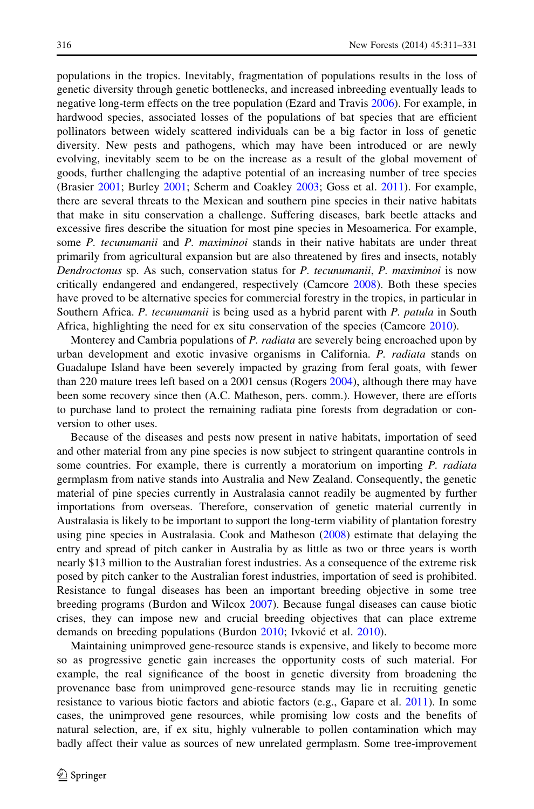populations in the tropics. Inevitably, fragmentation of populations results in the loss of genetic diversity through genetic bottlenecks, and increased inbreeding eventually leads to negative long-term effects on the tree population (Ezard and Travis [2006\)](#page-17-0). For example, in hardwood species, associated losses of the populations of bat species that are efficient pollinators between widely scattered individuals can be a big factor in loss of genetic diversity. New pests and pathogens, which may have been introduced or are newly evolving, inevitably seem to be on the increase as a result of the global movement of goods, further challenging the adaptive potential of an increasing number of tree species (Brasier [2001;](#page-16-0) Burley [2001;](#page-17-0) Scherm and Coakley [2003;](#page-19-0) Goss et al. [2011\)](#page-18-0). For example, there are several threats to the Mexican and southern pine species in their native habitats that make in situ conservation a challenge. Suffering diseases, bark beetle attacks and excessive fires describe the situation for most pine species in Mesoamerica. For example, some P. tecunumanii and P. maximinoi stands in their native habitats are under threat primarily from agricultural expansion but are also threatened by fires and insects, notably Dendroctonus sp. As such, conservation status for P. tecunumanii, P. maximinoi is now critically endangered and endangered, respectively (Camcore [2008](#page-17-0)). Both these species have proved to be alternative species for commercial forestry in the tropics, in particular in Southern Africa. P. tecunumanii is being used as a hybrid parent with P. patula in South Africa, highlighting the need for ex situ conservation of the species (Camcore [2010\)](#page-17-0).

Monterey and Cambria populations of P. radiata are severely being encroached upon by urban development and exotic invasive organisms in California. P. radiata stands on Guadalupe Island have been severely impacted by grazing from feral goats, with fewer than 220 mature trees left based on a 2001 census (Rogers [2004](#page-19-0)), although there may have been some recovery since then (A.C. Matheson, pers. comm.). However, there are efforts to purchase land to protect the remaining radiata pine forests from degradation or conversion to other uses.

Because of the diseases and pests now present in native habitats, importation of seed and other material from any pine species is now subject to stringent quarantine controls in some countries. For example, there is currently a moratorium on importing P. radiata germplasm from native stands into Australia and New Zealand. Consequently, the genetic material of pine species currently in Australasia cannot readily be augmented by further importations from overseas. Therefore, conservation of genetic material currently in Australasia is likely to be important to support the long-term viability of plantation forestry using pine species in Australasia. Cook and Matheson [\(2008](#page-17-0)) estimate that delaying the entry and spread of pitch canker in Australia by as little as two or three years is worth nearly \$13 million to the Australian forest industries. As a consequence of the extreme risk posed by pitch canker to the Australian forest industries, importation of seed is prohibited. Resistance to fungal diseases has been an important breeding objective in some tree breeding programs (Burdon and Wilcox [2007](#page-16-0)). Because fungal diseases can cause biotic crises, they can impose new and crucial breeding objectives that can place extreme demands on breeding populations (Burdon [2010;](#page-16-0) Ivković et al. [2010\)](#page-18-0).

Maintaining unimproved gene-resource stands is expensive, and likely to become more so as progressive genetic gain increases the opportunity costs of such material. For example, the real significance of the boost in genetic diversity from broadening the provenance base from unimproved gene-resource stands may lie in recruiting genetic resistance to various biotic factors and abiotic factors (e.g., Gapare et al. [2011\)](#page-17-0). In some cases, the unimproved gene resources, while promising low costs and the benefits of natural selection, are, if ex situ, highly vulnerable to pollen contamination which may badly affect their value as sources of new unrelated germplasm. Some tree-improvement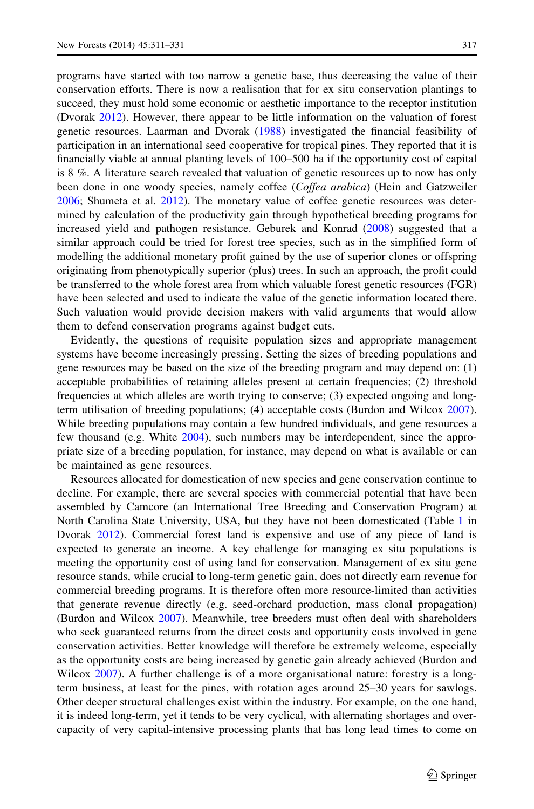programs have started with too narrow a genetic base, thus decreasing the value of their conservation efforts. There is now a realisation that for ex situ conservation plantings to succeed, they must hold some economic or aesthetic importance to the receptor institution (Dvorak [2012\)](#page-17-0). However, there appear to be little information on the valuation of forest genetic resources. Laarman and Dvorak ([1988\)](#page-18-0) investigated the financial feasibility of participation in an international seed cooperative for tropical pines. They reported that it is financially viable at annual planting levels of 100–500 ha if the opportunity cost of capital is 8 %. A literature search revealed that valuation of genetic resources up to now has only been done in one woody species, namely coffee (*Coffea arabica*) (Hein and Gatzweiler [2006;](#page-18-0) Shumeta et al. [2012](#page-19-0)). The monetary value of coffee genetic resources was determined by calculation of the productivity gain through hypothetical breeding programs for increased yield and pathogen resistance. Geburek and Konrad ([2008\)](#page-18-0) suggested that a similar approach could be tried for forest tree species, such as in the simplified form of modelling the additional monetary profit gained by the use of superior clones or offspring originating from phenotypically superior (plus) trees. In such an approach, the profit could be transferred to the whole forest area from which valuable forest genetic resources (FGR) have been selected and used to indicate the value of the genetic information located there. Such valuation would provide decision makers with valid arguments that would allow them to defend conservation programs against budget cuts.

Evidently, the questions of requisite population sizes and appropriate management systems have become increasingly pressing. Setting the sizes of breeding populations and gene resources may be based on the size of the breeding program and may depend on: (1) acceptable probabilities of retaining alleles present at certain frequencies; (2) threshold frequencies at which alleles are worth trying to conserve; (3) expected ongoing and longterm utilisation of breeding populations; (4) acceptable costs (Burdon and Wilcox [2007](#page-16-0)). While breeding populations may contain a few hundred individuals, and gene resources a few thousand (e.g. White [2004](#page-20-0)), such numbers may be interdependent, since the appropriate size of a breeding population, for instance, may depend on what is available or can be maintained as gene resources.

Resources allocated for domestication of new species and gene conservation continue to decline. For example, there are several species with commercial potential that have been assembled by Camcore (an International Tree Breeding and Conservation Program) at North Carolina State University, USA, but they have not been domesticated (Table [1](#page-12-0) in Dvorak [2012\)](#page-17-0). Commercial forest land is expensive and use of any piece of land is expected to generate an income. A key challenge for managing ex situ populations is meeting the opportunity cost of using land for conservation. Management of ex situ gene resource stands, while crucial to long-term genetic gain, does not directly earn revenue for commercial breeding programs. It is therefore often more resource-limited than activities that generate revenue directly (e.g. seed-orchard production, mass clonal propagation) (Burdon and Wilcox [2007](#page-16-0)). Meanwhile, tree breeders must often deal with shareholders who seek guaranteed returns from the direct costs and opportunity costs involved in gene conservation activities. Better knowledge will therefore be extremely welcome, especially as the opportunity costs are being increased by genetic gain already achieved (Burdon and Wilcox [2007](#page-16-0)). A further challenge is of a more organisational nature: forestry is a longterm business, at least for the pines, with rotation ages around 25–30 years for sawlogs. Other deeper structural challenges exist within the industry. For example, on the one hand, it is indeed long-term, yet it tends to be very cyclical, with alternating shortages and overcapacity of very capital-intensive processing plants that has long lead times to come on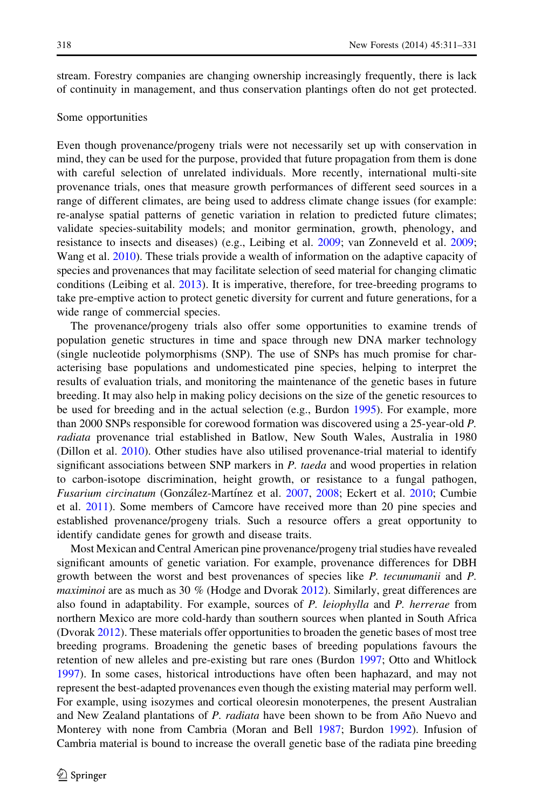stream. Forestry companies are changing ownership increasingly frequently, there is lack of continuity in management, and thus conservation plantings often do not get protected.

#### Some opportunities

Even though provenance/progeny trials were not necessarily set up with conservation in mind, they can be used for the purpose, provided that future propagation from them is done with careful selection of unrelated individuals. More recently, international multi-site provenance trials, ones that measure growth performances of different seed sources in a range of different climates, are being used to address climate change issues (for example: re-analyse spatial patterns of genetic variation in relation to predicted future climates; validate species-suitability models; and monitor germination, growth, phenology, and resistance to insects and diseases) (e.g., Leibing et al. [2009;](#page-18-0) van Zonneveld et al. [2009;](#page-19-0) Wang et al. [2010\)](#page-20-0). These trials provide a wealth of information on the adaptive capacity of species and provenances that may facilitate selection of seed material for changing climatic conditions (Leibing et al. [2013](#page-18-0)). It is imperative, therefore, for tree-breeding programs to take pre-emptive action to protect genetic diversity for current and future generations, for a wide range of commercial species.

The provenance/progeny trials also offer some opportunities to examine trends of population genetic structures in time and space through new DNA marker technology (single nucleotide polymorphisms (SNP). The use of SNPs has much promise for characterising base populations and undomesticated pine species, helping to interpret the results of evaluation trials, and monitoring the maintenance of the genetic bases in future breeding. It may also help in making policy decisions on the size of the genetic resources to be used for breeding and in the actual selection (e.g., Burdon [1995\)](#page-16-0). For example, more than 2000 SNPs responsible for corewood formation was discovered using a 25-year-old P. radiata provenance trial established in Batlow, New South Wales, Australia in 1980 (Dillon et al. [2010\)](#page-17-0). Other studies have also utilised provenance-trial material to identify significant associations between SNP markers in  $P$ . taeda and wood properties in relation to carbon-isotope discrimination, height growth, or resistance to a fungal pathogen, Fusarium circinatum (González-Martínez et al. [2007](#page-18-0), [2008](#page-18-0); Eckert et al. [2010](#page-17-0); Cumbie et al. [2011\)](#page-17-0). Some members of Camcore have received more than 20 pine species and established provenance/progeny trials. Such a resource offers a great opportunity to identify candidate genes for growth and disease traits.

Most Mexican and Central American pine provenance/progeny trial studies have revealed significant amounts of genetic variation. For example, provenance differences for DBH growth between the worst and best provenances of species like P. tecunumanii and P. maximinoi are as much as 30 % (Hodge and Dvorak [2012\)](#page-18-0). Similarly, great differences are also found in adaptability. For example, sources of P. leiophylla and P. herrerae from northern Mexico are more cold-hardy than southern sources when planted in South Africa (Dvorak [2012](#page-17-0)). These materials offer opportunities to broaden the genetic bases of most tree breeding programs. Broadening the genetic bases of breeding populations favours the retention of new alleles and pre-existing but rare ones (Burdon [1997](#page-16-0); Otto and Whitlock [1997\)](#page-19-0). In some cases, historical introductions have often been haphazard, and may not represent the best-adapted provenances even though the existing material may perform well. For example, using isozymes and cortical oleoresin monoterpenes, the present Australian and New Zealand plantations of P. *radiata* have been shown to be from Año Nuevo and Monterey with none from Cambria (Moran and Bell [1987;](#page-19-0) Burdon [1992](#page-16-0)). Infusion of Cambria material is bound to increase the overall genetic base of the radiata pine breeding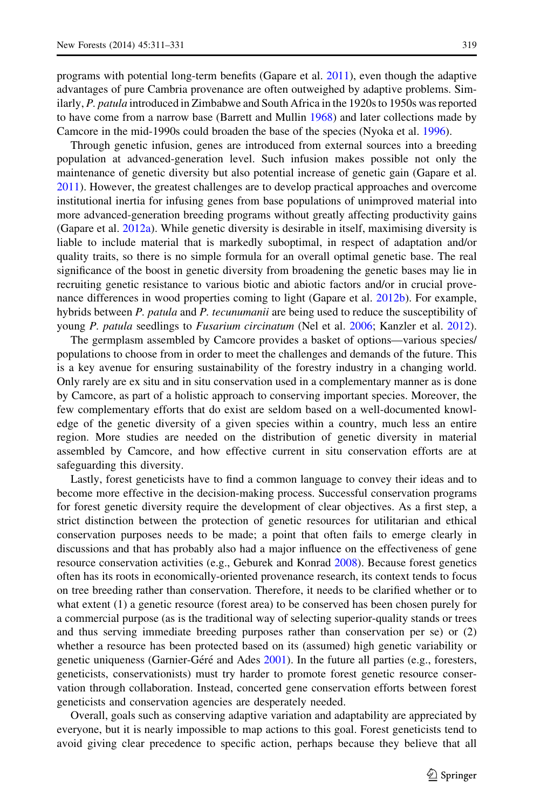programs with potential long-term benefits (Gapare et al. [2011\)](#page-17-0), even though the adaptive advantages of pure Cambria provenance are often outweighed by adaptive problems. Similarly, P. patula introduced in Zimbabwe and South Africa in the 1920s to 1950s was reported to have come from a narrow base (Barrett and Mullin [1968](#page-16-0)) and later collections made by Camcore in the mid-1990s could broaden the base of the species (Nyoka et al. [1996\)](#page-19-0).

Through genetic infusion, genes are introduced from external sources into a breeding population at advanced-generation level. Such infusion makes possible not only the maintenance of genetic diversity but also potential increase of genetic gain (Gapare et al. [2011\)](#page-17-0). However, the greatest challenges are to develop practical approaches and overcome institutional inertia for infusing genes from base populations of unimproved material into more advanced-generation breeding programs without greatly affecting productivity gains (Gapare et al. [2012a](#page-18-0)). While genetic diversity is desirable in itself, maximising diversity is liable to include material that is markedly suboptimal, in respect of adaptation and/or quality traits, so there is no simple formula for an overall optimal genetic base. The real significance of the boost in genetic diversity from broadening the genetic bases may lie in recruiting genetic resistance to various biotic and abiotic factors and/or in crucial provenance differences in wood properties coming to light (Gapare et al. [2012b\)](#page-18-0). For example, hybrids between P. patula and P. tecunumanii are being used to reduce the susceptibility of young P. patula seedlings to Fusarium circinatum (Nel et al. [2006;](#page-19-0) Kanzler et al. [2012](#page-18-0)).

The germplasm assembled by Camcore provides a basket of options—various species/ populations to choose from in order to meet the challenges and demands of the future. This is a key avenue for ensuring sustainability of the forestry industry in a changing world. Only rarely are ex situ and in situ conservation used in a complementary manner as is done by Camcore, as part of a holistic approach to conserving important species. Moreover, the few complementary efforts that do exist are seldom based on a well-documented knowledge of the genetic diversity of a given species within a country, much less an entire region. More studies are needed on the distribution of genetic diversity in material assembled by Camcore, and how effective current in situ conservation efforts are at safeguarding this diversity.

Lastly, forest geneticists have to find a common language to convey their ideas and to become more effective in the decision-making process. Successful conservation programs for forest genetic diversity require the development of clear objectives. As a first step, a strict distinction between the protection of genetic resources for utilitarian and ethical conservation purposes needs to be made; a point that often fails to emerge clearly in discussions and that has probably also had a major influence on the effectiveness of gene resource conservation activities (e.g., Geburek and Konrad [2008](#page-18-0)). Because forest genetics often has its roots in economically-oriented provenance research, its context tends to focus on tree breeding rather than conservation. Therefore, it needs to be clarified whether or to what extent (1) a genetic resource (forest area) to be conserved has been chosen purely for a commercial purpose (as is the traditional way of selecting superior-quality stands or trees and thus serving immediate breeding purposes rather than conservation per se) or (2) whether a resource has been protected based on its (assumed) high genetic variability or genetic uniqueness (Garnier-Géré and Ades  $2001$ ). In the future all parties (e.g., foresters, geneticists, conservationists) must try harder to promote forest genetic resource conservation through collaboration. Instead, concerted gene conservation efforts between forest geneticists and conservation agencies are desperately needed.

Overall, goals such as conserving adaptive variation and adaptability are appreciated by everyone, but it is nearly impossible to map actions to this goal. Forest geneticists tend to avoid giving clear precedence to specific action, perhaps because they believe that all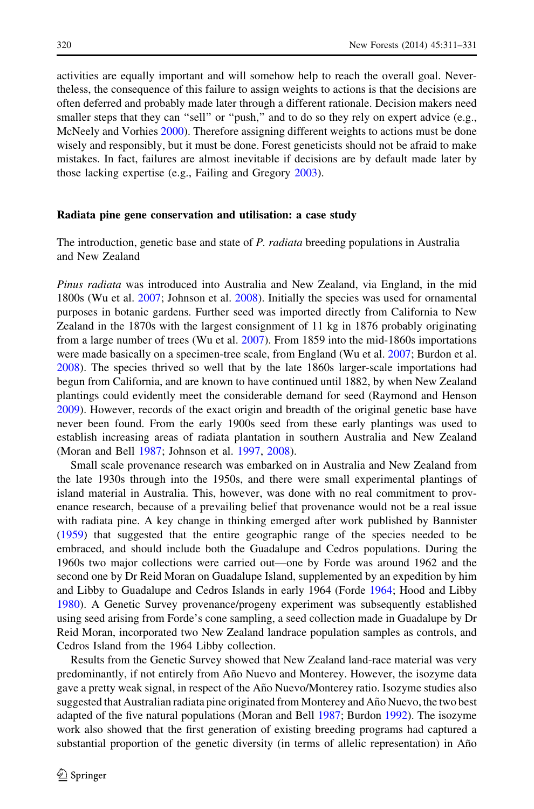activities are equally important and will somehow help to reach the overall goal. Nevertheless, the consequence of this failure to assign weights to actions is that the decisions are often deferred and probably made later through a different rationale. Decision makers need smaller steps that they can "sell" or "push," and to do so they rely on expert advice (e.g., McNeely and Vorhies [2000](#page-19-0)). Therefore assigning different weights to actions must be done wisely and responsibly, but it must be done. Forest geneticists should not be afraid to make mistakes. In fact, failures are almost inevitable if decisions are by default made later by those lacking expertise (e.g., Failing and Gregory [2003](#page-17-0)).

#### Radiata pine gene conservation and utilisation: a case study

The introduction, genetic base and state of P. radiata breeding populations in Australia and New Zealand

Pinus radiata was introduced into Australia and New Zealand, via England, in the mid 1800s (Wu et al. [2007](#page-20-0); Johnson et al. [2008](#page-18-0)). Initially the species was used for ornamental purposes in botanic gardens. Further seed was imported directly from California to New Zealand in the 1870s with the largest consignment of 11 kg in 1876 probably originating from a large number of trees (Wu et al. [2007\)](#page-20-0). From 1859 into the mid-1860s importations were made basically on a specimen-tree scale, from England (Wu et al. [2007](#page-20-0); Burdon et al. [2008\)](#page-17-0). The species thrived so well that by the late 1860s larger-scale importations had begun from California, and are known to have continued until 1882, by when New Zealand plantings could evidently meet the considerable demand for seed (Raymond and Henson [2009\)](#page-19-0). However, records of the exact origin and breadth of the original genetic base have never been found. From the early 1900s seed from these early plantings was used to establish increasing areas of radiata plantation in southern Australia and New Zealand (Moran and Bell [1987](#page-19-0); Johnson et al. [1997](#page-18-0), [2008\)](#page-18-0).

Small scale provenance research was embarked on in Australia and New Zealand from the late 1930s through into the 1950s, and there were small experimental plantings of island material in Australia. This, however, was done with no real commitment to provenance research, because of a prevailing belief that provenance would not be a real issue with radiata pine. A key change in thinking emerged after work published by Bannister ([1959\)](#page-16-0) that suggested that the entire geographic range of the species needed to be embraced, and should include both the Guadalupe and Cedros populations. During the 1960s two major collections were carried out—one by Forde was around 1962 and the second one by Dr Reid Moran on Guadalupe Island, supplemented by an expedition by him and Libby to Guadalupe and Cedros Islands in early 1964 (Forde [1964](#page-17-0); Hood and Libby [1980\)](#page-18-0). A Genetic Survey provenance/progeny experiment was subsequently established using seed arising from Forde's cone sampling, a seed collection made in Guadalupe by Dr Reid Moran, incorporated two New Zealand landrace population samples as controls, and Cedros Island from the 1964 Libby collection.

Results from the Genetic Survey showed that New Zealand land-race material was very predominantly, if not entirely from Año Nuevo and Monterey. However, the isozyme data gave a pretty weak signal, in respect of the Año Nuevo/Monterey ratio. Isozyme studies also suggested that Australian radiata pine originated from Monterey and Año Nuevo, the two best adapted of the five natural populations (Moran and Bell [1987;](#page-19-0) Burdon [1992\)](#page-16-0). The isozyme work also showed that the first generation of existing breeding programs had captured a substantial proportion of the genetic diversity (in terms of allelic representation) in Año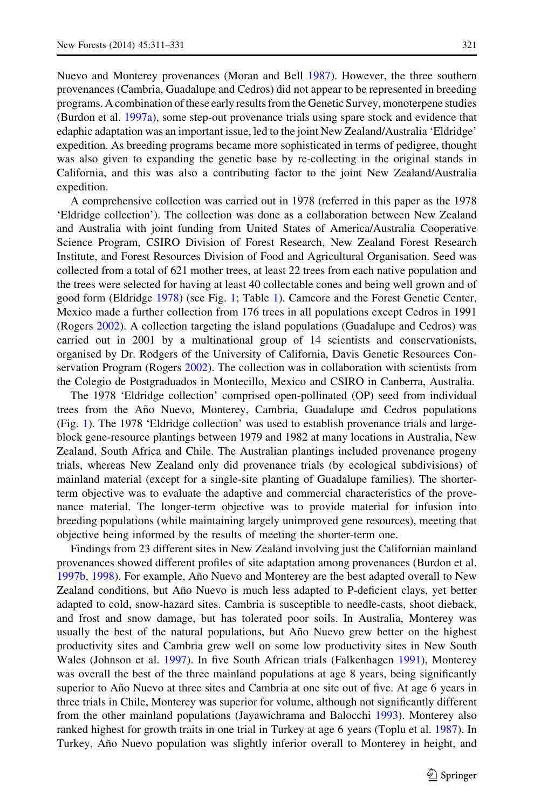Nuevo and Monterey provenances (Moran and Bell [1987](#page-19-0)). However, the three southern provenances (Cambria, Guadalupe and Cedros) did not appear to be represented in breeding programs. A combination of these early results from the Genetic Survey, monoterpene studies (Burdon et al. [1997a](#page-16-0)), some step-out provenance trials using spare stock and evidence that edaphic adaptation was an important issue, led to the joint New Zealand/Australia 'Eldridge' expedition. As breeding programs became more sophisticated in terms of pedigree, thought was also given to expanding the genetic base by re-collecting in the original stands in California, and this was also a contributing factor to the joint New Zealand/Australia expedition.

A comprehensive collection was carried out in 1978 (referred in this paper as the 1978 'Eldridge collection'). The collection was done as a collaboration between New Zealand and Australia with joint funding from United States of America/Australia Cooperative Science Program, CSIRO Division of Forest Research, New Zealand Forest Research Institute, and Forest Resources Division of Food and Agricultural Organisation. Seed was collected from a total of 621 mother trees, at least 22 trees from each native population and the trees were selected for having at least 40 collectable cones and being well grown and of good form (Eldridge [1978](#page-17-0)) (see Fig. [1](#page-11-0); Table [1](#page-12-0)). Camcore and the Forest Genetic Center, Mexico made a further collection from 176 trees in all populations except Cedros in 1991 (Rogers [2002\)](#page-19-0). A collection targeting the island populations (Guadalupe and Cedros) was carried out in 2001 by a multinational group of 14 scientists and conservationists, organised by Dr. Rodgers of the University of California, Davis Genetic Resources Conservation Program (Rogers [2002](#page-19-0)). The collection was in collaboration with scientists from the Colegio de Postgraduados in Montecillo, Mexico and CSIRO in Canberra, Australia.

The 1978 'Eldridge collection' comprised open-pollinated (OP) seed from individual trees from the Año Nuevo, Monterey, Cambria, Guadalupe and Cedros populations (Fig. [1\)](#page-11-0). The 1978 'Eldridge collection' was used to establish provenance trials and largeblock gene-resource plantings between 1979 and 1982 at many locations in Australia, New Zealand, South Africa and Chile. The Australian plantings included provenance progeny trials, whereas New Zealand only did provenance trials (by ecological subdivisions) of mainland material (except for a single-site planting of Guadalupe families). The shorterterm objective was to evaluate the adaptive and commercial characteristics of the provenance material. The longer-term objective was to provide material for infusion into breeding populations (while maintaining largely unimproved gene resources), meeting that objective being informed by the results of meeting the shorter-term one.

Findings from 23 different sites in New Zealand involving just the Californian mainland provenances showed different profiles of site adaptation among provenances (Burdon et al. [1997b](#page-17-0), [1998](#page-17-0)). For example, Año Nuevo and Monterey are the best adapted overall to New Zealand conditions, but Año Nuevo is much less adapted to P-deficient clays, yet better adapted to cold, snow-hazard sites. Cambria is susceptible to needle-casts, shoot dieback, and frost and snow damage, but has tolerated poor soils. In Australia, Monterey was usually the best of the natural populations, but Año Nuevo grew better on the highest productivity sites and Cambria grew well on some low productivity sites in New South Wales (Johnson et al. [1997\)](#page-18-0). In five South African trials (Falkenhagen [1991\)](#page-17-0), Monterey was overall the best of the three mainland populations at age 8 years, being significantly superior to Año Nuevo at three sites and Cambria at one site out of five. At age 6 years in three trials in Chile, Monterey was superior for volume, although not significantly different from the other mainland populations (Jayawichrama and Balocchi [1993\)](#page-18-0). Monterey also ranked highest for growth traits in one trial in Turkey at age 6 years (Toplu et al. [1987\)](#page-19-0). In Turkey, Año Nuevo population was slightly inferior overall to Monterey in height, and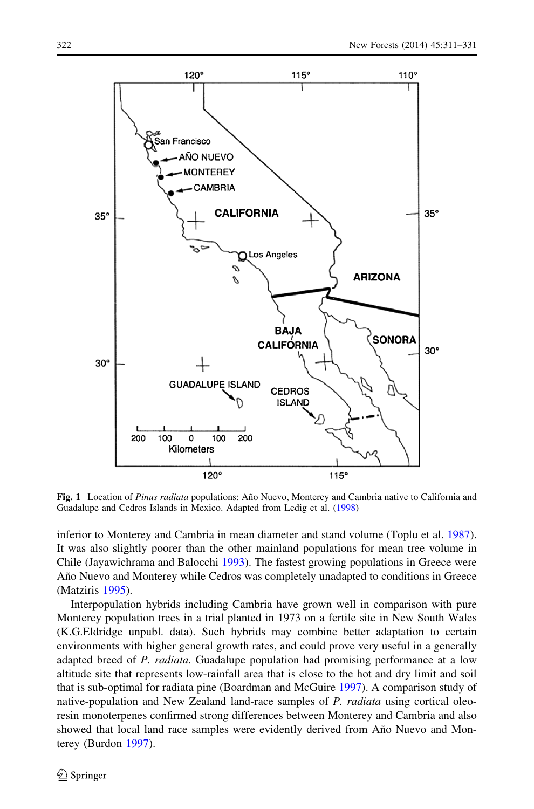<span id="page-11-0"></span>

Fig. 1 Location of Pinus radiata populations: Año Nuevo, Monterey and Cambria native to California and Guadalupe and Cedros Islands in Mexico. Adapted from Ledig et al. ([1998\)](#page-18-0)

inferior to Monterey and Cambria in mean diameter and stand volume (Toplu et al. [1987](#page-19-0)). It was also slightly poorer than the other mainland populations for mean tree volume in Chile (Jayawichrama and Balocchi [1993\)](#page-18-0). The fastest growing populations in Greece were Año Nuevo and Monterey while Cedros was completely unadapted to conditions in Greece (Matziris [1995\)](#page-18-0).

Interpopulation hybrids including Cambria have grown well in comparison with pure Monterey population trees in a trial planted in 1973 on a fertile site in New South Wales (K.G.Eldridge unpubl. data). Such hybrids may combine better adaptation to certain environments with higher general growth rates, and could prove very useful in a generally adapted breed of P. radiata. Guadalupe population had promising performance at a low altitude site that represents low-rainfall area that is close to the hot and dry limit and soil that is sub-optimal for radiata pine (Boardman and McGuire [1997\)](#page-16-0). A comparison study of native-population and New Zealand land-race samples of P. radiata using cortical oleoresin monoterpenes confirmed strong differences between Monterey and Cambria and also showed that local land race samples were evidently derived from Año Nuevo and Monterey (Burdon [1997\)](#page-16-0).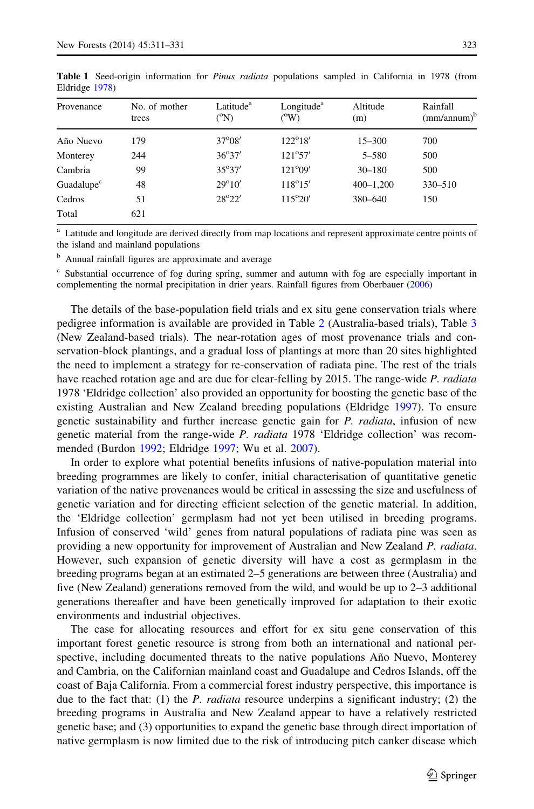| Provenance             | No. of mother<br>trees | Latitude <sup>a</sup><br>$\rm ^{o}N)$ | Longitude <sup>a</sup><br>(9W) | Altitude<br>(m) | Rainfall<br>(mm/annum) <sup>b</sup> |
|------------------------|------------------------|---------------------------------------|--------------------------------|-----------------|-------------------------------------|
|                        |                        |                                       |                                |                 |                                     |
| Año Nuevo              | 179                    | $37^{\circ}08'$                       | $122^{\circ}18'$               | $15 - 300$      | 700                                 |
| Monterey               | 244                    | $36^{\circ}37'$                       | $121^{\circ}57'$               | $5 - 580$       | 500                                 |
| Cambria                | 99                     | $35^{\circ}37'$                       | $121^{\circ}09'$               | $30 - 180$      | 500                                 |
| Guadalupe <sup>c</sup> | 48                     | $29^{\circ}10'$                       | $118^{\circ}15'$               | $400 - 1,200$   | $330 - 510$                         |
| Cedros                 | 51                     | $28^{\circ}22'$                       | $115^{\circ}20'$               | 380-640         | 150                                 |
| Total                  | 621                    |                                       |                                |                 |                                     |

<span id="page-12-0"></span>Table 1 Seed-origin information for *Pinus radiata* populations sampled in California in 1978 (from Eldridge [1978\)](#page-17-0)

Latitude and longitude are derived directly from map locations and represent approximate centre points of the island and mainland populations

<sup>b</sup> Annual rainfall figures are approximate and average

<sup>c</sup> Substantial occurrence of fog during spring, summer and autumn with fog are especially important in complementing the normal precipitation in drier years. Rainfall figures from Oberbauer ([2006](#page-19-0))

The details of the base-population field trials and ex situ gene conservation trials where pedigree information is available are provided in Table [2](#page-13-0) (Australia-based trials), Table [3](#page-14-0) (New Zealand-based trials). The near-rotation ages of most provenance trials and conservation-block plantings, and a gradual loss of plantings at more than 20 sites highlighted the need to implement a strategy for re-conservation of radiata pine. The rest of the trials have reached rotation age and are due for clear-felling by 2015. The range-wide P. radiata 1978 'Eldridge collection' also provided an opportunity for boosting the genetic base of the existing Australian and New Zealand breeding populations (Eldridge [1997\)](#page-17-0). To ensure genetic sustainability and further increase genetic gain for P. radiata, infusion of new genetic material from the range-wide P. radiata 1978 'Eldridge collection' was recommended (Burdon [1992;](#page-16-0) Eldridge [1997](#page-17-0); Wu et al. [2007](#page-20-0)).

In order to explore what potential benefits infusions of native-population material into breeding programmes are likely to confer, initial characterisation of quantitative genetic variation of the native provenances would be critical in assessing the size and usefulness of genetic variation and for directing efficient selection of the genetic material. In addition, the 'Eldridge collection' germplasm had not yet been utilised in breeding programs. Infusion of conserved 'wild' genes from natural populations of radiata pine was seen as providing a new opportunity for improvement of Australian and New Zealand P. radiata. However, such expansion of genetic diversity will have a cost as germplasm in the breeding programs began at an estimated 2–5 generations are between three (Australia) and five (New Zealand) generations removed from the wild, and would be up to 2–3 additional generations thereafter and have been genetically improved for adaptation to their exotic environments and industrial objectives.

The case for allocating resources and effort for ex situ gene conservation of this important forest genetic resource is strong from both an international and national perspective, including documented threats to the native populations Año Nuevo, Monterey and Cambria, on the Californian mainland coast and Guadalupe and Cedros Islands, off the coast of Baja California. From a commercial forest industry perspective, this importance is due to the fact that: (1) the *P. radiata* resource underpins a significant industry; (2) the breeding programs in Australia and New Zealand appear to have a relatively restricted genetic base; and (3) opportunities to expand the genetic base through direct importation of native germplasm is now limited due to the risk of introducing pitch canker disease which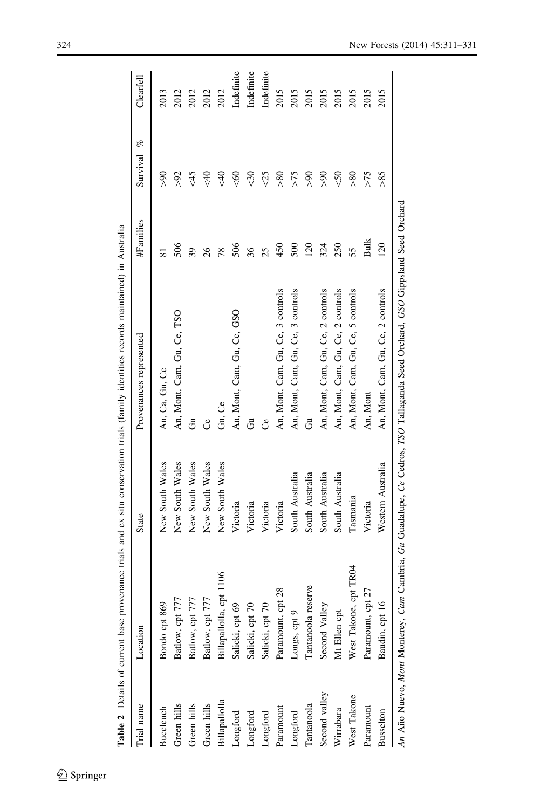<span id="page-13-0"></span>

| rial name                                                            | Location                | State             | Provenances represented                                                                       | #Families | og.<br>Survival | Clearfell  |
|----------------------------------------------------------------------|-------------------------|-------------------|-----------------------------------------------------------------------------------------------|-----------|-----------------|------------|
| <b>Buccleuch</b>                                                     | Bondo cpt 869           | New South Wales   | An, Ca, Gu, Ce                                                                                | ಷ         | $\%$            | 2013       |
| Green hills                                                          | 777<br>Batlow, cpt      | New South Wales   | An, Mont, Cam, Gu, Ce, TSO                                                                    | 506       | šk              | 2012       |
| Green hills                                                          | 777<br>Batlow, cpt      | New South Wales   | రే                                                                                            | 39        | $\frac{45}{5}$  | 2012       |
| Green hills                                                          | 777<br>Batlow, cpt      | New South Wales   | ಲಿ                                                                                            |           | ₹               | 2012       |
| Billapallolla                                                        | Billapallolla, cpt 1106 | New South Wales   | Gu, Ce                                                                                        | 78        | ₹               | 2012       |
| Longford                                                             | Salicki, cpt 69         | Victoria          | An, Mont, Cam, Gu, Ce, GSO                                                                    | 506       | ଟ୍              | Indefinite |
| Longford                                                             | Salicki, cpt 70         | Victoria          | ප්                                                                                            | 36        | 30              | Indefinite |
| $\ensuremath{\mathsf{Long}}\xspace\ensuremath{\mathsf{ford}}\xspace$ | Salicki, cpt 70         | Victoria          | ರೆ                                                                                            | 25        |                 | Indefinite |
| Paramount                                                            | Paramount, cpt 28       | Victoria          | An, Mont, Cam, Gu, Ce, 3 controls                                                             | 450       | ≫               | 2015       |
| Longford                                                             | Longs, cpt 9            | South Australia   | An, Mont, Cam, Gu, Ce, 3 controls                                                             | 500       | >75             | 2015       |
| Tantanoola                                                           | Tantanoola reserve      | South Australia   | రే                                                                                            | 120       | ฐ               | 2015       |
| Second valley                                                        | Second Valley           | South Australia   | An, Mont, Cam, Gu, Ce, 2 controls                                                             | 324       | ฐ               | 2015       |
| Wirrabara                                                            | Mt Ellen cp             | South Australia   | An, Mont, Cam, Gu, Ce, 2 controls                                                             | 250       | $\sqrt{2}$      | 2015       |
| West Takone                                                          | West Takone, cpt TR04   | Tasmania          | An, Mont, Cam, Gu, Ce, 5 controls                                                             | 55        | $\frac{80}{2}$  | 2015       |
| Paramount                                                            | Paramount, cpt 27       | Victoria          | An, Mont                                                                                      | БuК       | >75             | 2015       |
| Busselton                                                            | Baudin, cpt 16          | Western Australia | An, Mont, Cam, Gu, Ce, 2 controls                                                             | 120       | 58<             | 2015       |
| An Año Nuevo, Mont Monterey,                                         |                         |                   | Cam Cambria, Gu Guadalupe, Ce Cedros, TSO Tallaganda Seed Orchard, GSO Gippsland Seed Orchard |           |                 |            |

Table 2 Details of current base provenance trials and ex situ conservation trials (family identities records maintained) in Australia Table Details of current base provenance trials and ex situ conservation trials (family identities records maintained) in Australia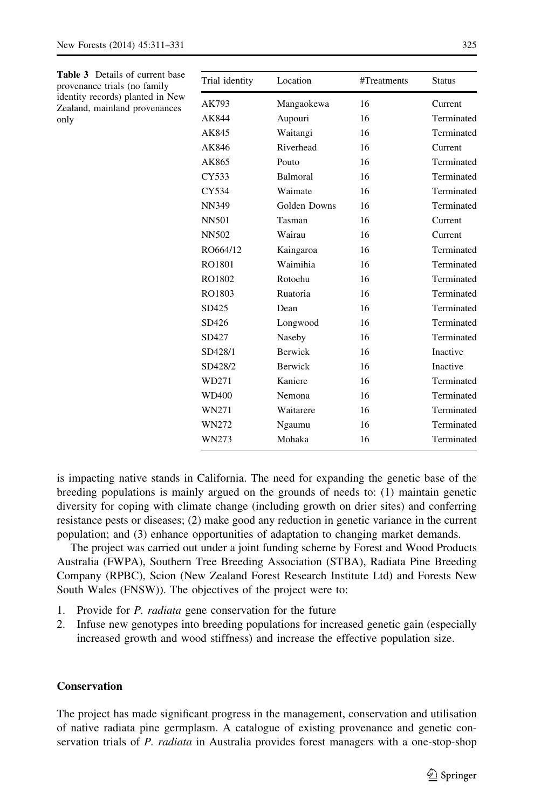<span id="page-14-0"></span>

| <b>Table 3</b> Details of current base<br>provenance trials (no family | Trial identity | Location     | #Treatments | <b>Status</b> |
|------------------------------------------------------------------------|----------------|--------------|-------------|---------------|
| identity records) planted in New<br>Zealand, mainland provenances      | AK793          | Mangaokewa   | 16          | Current       |
| only                                                                   | AK844          | Aupouri      | 16          | Terminated    |
|                                                                        | AK845          | Waitangi     | 16          | Terminated    |
|                                                                        | AK846          | Riverhead    | 16          | Current       |
|                                                                        | AK865          | Pouto        | 16          | Terminated    |
|                                                                        | CY533          | Balmoral     | 16          | Terminated    |
|                                                                        | CY534          | Waimate      | 16          | Terminated    |
|                                                                        | <b>NN349</b>   | Golden Downs | 16          | Terminated    |
|                                                                        | <b>NN501</b>   | Tasman       | 16          | Current       |
|                                                                        | <b>NN502</b>   | Wairau       | 16          | Current       |
|                                                                        | RO664/12       | Kaingaroa    | 16          | Terminated    |
|                                                                        | RO1801         | Waimihia     | 16          | Terminated    |
|                                                                        | RO1802         | Rotoehu      | 16          | Terminated    |
|                                                                        | RO1803         | Ruatoria     | 16          | Terminated    |
|                                                                        | SD425          | Dean         | 16          | Terminated    |
|                                                                        | SD426          | Longwood     | 16          | Terminated    |
|                                                                        | SD427          | Naseby       | 16          | Terminated    |
|                                                                        | SD428/1        | Berwick      | 16          | Inactive      |
|                                                                        | SD428/2        | Berwick      | 16          | Inactive      |
|                                                                        | WD271          | Kaniere      | 16          | Terminated    |
|                                                                        | WD400          | Nemona       | 16          | Terminated    |
|                                                                        | WN271          | Waitarere    | 16          | Terminated    |
|                                                                        | WN272          | Ngaumu       | 16          | Terminated    |
|                                                                        | WN273          | Mohaka       | 16          | Terminated    |

is impacting native stands in California. The need for expanding the genetic base of the breeding populations is mainly argued on the grounds of needs to: (1) maintain genetic diversity for coping with climate change (including growth on drier sites) and conferring resistance pests or diseases; (2) make good any reduction in genetic variance in the current population; and (3) enhance opportunities of adaptation to changing market demands.

The project was carried out under a joint funding scheme by Forest and Wood Products Australia (FWPA), Southern Tree Breeding Association (STBA), Radiata Pine Breeding Company (RPBC), Scion (New Zealand Forest Research Institute Ltd) and Forests New South Wales (FNSW)). The objectives of the project were to:

- 1. Provide for P. radiata gene conservation for the future
- 2. Infuse new genotypes into breeding populations for increased genetic gain (especially increased growth and wood stiffness) and increase the effective population size.

# **Conservation**

The project has made significant progress in the management, conservation and utilisation of native radiata pine germplasm. A catalogue of existing provenance and genetic conservation trials of P. radiata in Australia provides forest managers with a one-stop-shop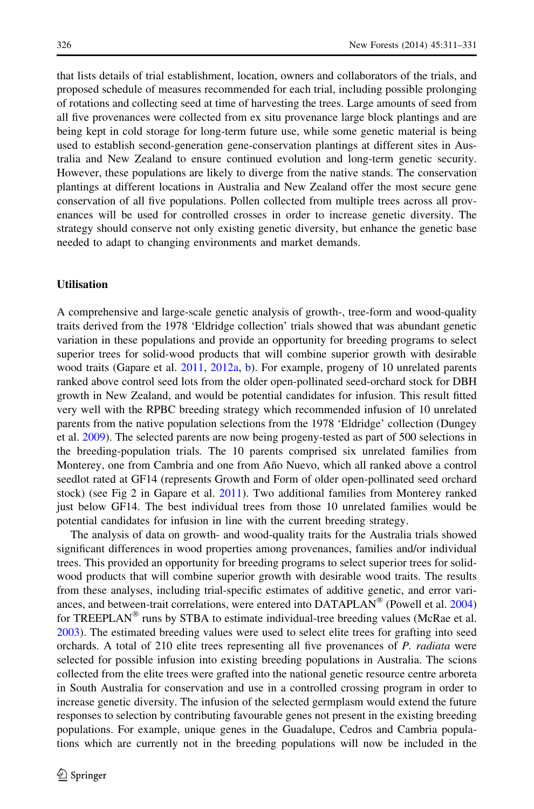that lists details of trial establishment, location, owners and collaborators of the trials, and proposed schedule of measures recommended for each trial, including possible prolonging of rotations and collecting seed at time of harvesting the trees. Large amounts of seed from all five provenances were collected from ex situ provenance large block plantings and are being kept in cold storage for long-term future use, while some genetic material is being used to establish second-generation gene-conservation plantings at different sites in Australia and New Zealand to ensure continued evolution and long-term genetic security. However, these populations are likely to diverge from the native stands. The conservation plantings at different locations in Australia and New Zealand offer the most secure gene conservation of all five populations. Pollen collected from multiple trees across all provenances will be used for controlled crosses in order to increase genetic diversity. The strategy should conserve not only existing genetic diversity, but enhance the genetic base needed to adapt to changing environments and market demands.

#### **Utilisation**

A comprehensive and large-scale genetic analysis of growth-, tree-form and wood-quality traits derived from the 1978 'Eldridge collection' trials showed that was abundant genetic variation in these populations and provide an opportunity for breeding programs to select superior trees for solid-wood products that will combine superior growth with desirable wood traits (Gapare et al. [2011,](#page-17-0) [2012a](#page-18-0), [b\)](#page-18-0). For example, progeny of 10 unrelated parents ranked above control seed lots from the older open-pollinated seed-orchard stock for DBH growth in New Zealand, and would be potential candidates for infusion. This result fitted very well with the RPBC breeding strategy which recommended infusion of 10 unrelated parents from the native population selections from the 1978 'Eldridge' collection (Dungey et al. [2009\)](#page-17-0). The selected parents are now being progeny-tested as part of 500 selections in the breeding-population trials. The 10 parents comprised six unrelated families from Monterey, one from Cambria and one from Año Nuevo, which all ranked above a control seedlot rated at GF14 (represents Growth and Form of older open-pollinated seed orchard stock) (see Fig 2 in Gapare et al. [2011](#page-17-0)). Two additional families from Monterey ranked just below GF14. The best individual trees from those 10 unrelated families would be potential candidates for infusion in line with the current breeding strategy.

The analysis of data on growth- and wood-quality traits for the Australia trials showed significant differences in wood properties among provenances, families and/or individual trees. This provided an opportunity for breeding programs to select superior trees for solidwood products that will combine superior growth with desirable wood traits. The results from these analyses, including trial-specific estimates of additive genetic, and error variances, and between-trait correlations, were entered into  $DATAPLAN^{\circledcirc}$  (Powell et al. [2004](#page-19-0)) for TREEPLAN<sup>®</sup> runs by STBA to estimate individual-tree breeding values (McRae et al. [2003\)](#page-19-0). The estimated breeding values were used to select elite trees for grafting into seed orchards. A total of 210 elite trees representing all five provenances of P. radiata were selected for possible infusion into existing breeding populations in Australia. The scions collected from the elite trees were grafted into the national genetic resource centre arboreta in South Australia for conservation and use in a controlled crossing program in order to increase genetic diversity. The infusion of the selected germplasm would extend the future responses to selection by contributing favourable genes not present in the existing breeding populations. For example, unique genes in the Guadalupe, Cedros and Cambria populations which are currently not in the breeding populations will now be included in the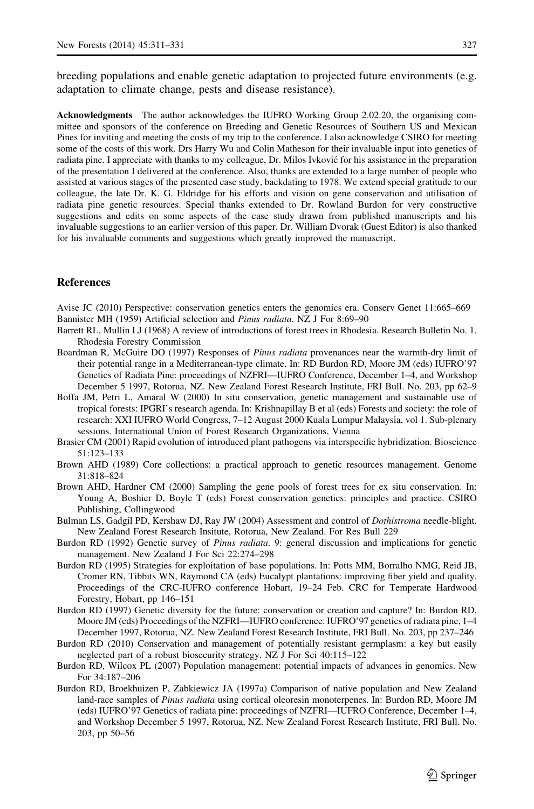<span id="page-16-0"></span>breeding populations and enable genetic adaptation to projected future environments (e.g. adaptation to climate change, pests and disease resistance).

Acknowledgments The author acknowledges the IUFRO Working Group 2.02.20, the organising committee and sponsors of the conference on Breeding and Genetic Resources of Southern US and Mexican Pines for inviting and meeting the costs of my trip to the conference. I also acknowledge CSIRO for meeting some of the costs of this work. Drs Harry Wu and Colin Matheson for their invaluable input into genetics of radiata pine. I appreciate with thanks to my colleague, Dr. Milos Ivković for his assistance in the preparation of the presentation I delivered at the conference. Also, thanks are extended to a large number of people who assisted at various stages of the presented case study, backdating to 1978. We extend special gratitude to our colleague, the late Dr. K. G. Eldridge for his efforts and vision on gene conservation and utilisation of radiata pine genetic resources. Special thanks extended to Dr. Rowland Burdon for very constructive suggestions and edits on some aspects of the case study drawn from published manuscripts and his invaluable suggestions to an earlier version of this paper. Dr. William Dvorak (Guest Editor) is also thanked for his invaluable comments and suggestions which greatly improved the manuscript.

## **References**

Avise JC (2010) Perspective: conservation genetics enters the genomics era. Conserv Genet 11:665–669 Bannister MH (1959) Artificial selection and Pinus radiata. NZ J For 8:69–90

- Barrett RL, Mullin LJ (1968) A review of introductions of forest trees in Rhodesia. Research Bulletin No. 1. Rhodesia Forestry Commission
- Boardman R, McGuire DO (1997) Responses of *Pinus radiata* provenances near the warmth-dry limit of their potential range in a Mediterranean-type climate. In: RD Burdon RD, Moore JM (eds) IUFRO'97 Genetics of Radiata Pine: proceedings of NZFRI—IUFRO Conference, December 1–4, and Workshop December 5 1997, Rotorua, NZ. New Zealand Forest Research Institute, FRI Bull. No. 203, pp 62–9
- Boffa JM, Petri L, Amaral W (2000) In situ conservation, genetic management and sustainable use of tropical forests: IPGRI's research agenda. In: Krishnapillay B et al (eds) Forests and society: the role of research: XXI IUFRO World Congress, 7–12 August 2000 Kuala Lumpur Malaysia, vol 1. Sub-plenary sessions. International Union of Forest Research Organizations, Vienna
- Brasier CM (2001) Rapid evolution of introduced plant pathogens via interspecific hybridization. Bioscience 51:123–133
- Brown AHD (1989) Core collections: a practical approach to genetic resources management. Genome 31:818–824
- Brown AHD, Hardner CM (2000) Sampling the gene pools of forest trees for ex situ conservation. In: Young A, Boshier D, Boyle T (eds) Forest conservation genetics: principles and practice. CSIRO Publishing, Collingwood
- Bulman LS, Gadgil PD, Kershaw DJ, Ray JW (2004) Assessment and control of Dothistroma needle-blight. New Zealand Forest Research Insitute, Rotorua, New Zealand. For Res Bull 229
- Burdon RD (1992) Genetic survey of Pinus radiata. 9: general discussion and implications for genetic management. New Zealand J For Sci 22:274–298
- Burdon RD (1995) Strategies for exploitation of base populations. In: Potts MM, Borralho NMG, Reid JB, Cromer RN, Tibbits WN, Raymond CA (eds) Eucalypt plantations: improving fiber yield and quality. Proceedings of the CRC-IUFRO conference Hobart, 19–24 Feb. CRC for Temperate Hardwood Forestry, Hobart, pp 146–151
- Burdon RD (1997) Genetic diversity for the future: conservation or creation and capture? In: Burdon RD, Moore JM (eds) Proceedings of the NZFRI—IUFRO conference: IUFRO'97 genetics of radiata pine, 1–4 December 1997, Rotorua, NZ. New Zealand Forest Research Institute, FRI Bull. No. 203, pp 237–246
- Burdon RD (2010) Conservation and management of potentially resistant germplasm: a key but easily neglected part of a robust biosecurity strategy. NZ J For Sci 40:115–122
- Burdon RD, Wilcox PL (2007) Population management: potential impacts of advances in genomics. New For 34:187–206
- Burdon RD, Broekhuizen P, Zabkiewicz JA (1997a) Comparison of native population and New Zealand land-race samples of Pinus radiata using cortical oleoresin monoterpenes. In: Burdon RD, Moore JM (eds) IUFRO'97 Genetics of radiata pine: proceedings of NZFRI—IUFRO Conference, December 1–4, and Workshop December 5 1997, Rotorua, NZ. New Zealand Forest Research Institute, FRI Bull. No. 203, pp 50–56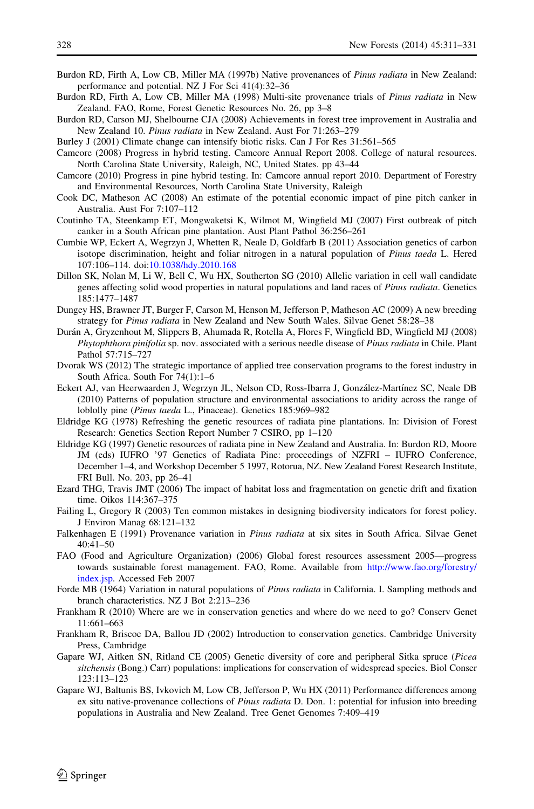- <span id="page-17-0"></span>Burdon RD, Firth A, Low CB, Miller MA (1997b) Native provenances of Pinus radiata in New Zealand: performance and potential. NZ J For Sci 41(4):32–36
- Burdon RD, Firth A, Low CB, Miller MA (1998) Multi-site provenance trials of Pinus radiata in New Zealand. FAO, Rome, Forest Genetic Resources No. 26, pp 3–8
- Burdon RD, Carson MJ, Shelbourne CJA (2008) Achievements in forest tree improvement in Australia and New Zealand 10. Pinus radiata in New Zealand. Aust For 71:263–279
- Burley J (2001) Climate change can intensify biotic risks. Can J For Res 31:561–565
- Camcore (2008) Progress in hybrid testing. Camcore Annual Report 2008. College of natural resources. North Carolina State University, Raleigh, NC, United States. pp 43–44
- Camcore (2010) Progress in pine hybrid testing. In: Camcore annual report 2010. Department of Forestry and Environmental Resources, North Carolina State University, Raleigh
- Cook DC, Matheson AC (2008) An estimate of the potential economic impact of pine pitch canker in Australia. Aust For 7:107–112
- Coutinho TA, Steenkamp ET, Mongwaketsi K, Wilmot M, Wingfield MJ (2007) First outbreak of pitch canker in a South African pine plantation. Aust Plant Pathol 36:256–261
- Cumbie WP, Eckert A, Wegrzyn J, Whetten R, Neale D, Goldfarb B (2011) Association genetics of carbon isotope discrimination, height and foliar nitrogen in a natural population of Pinus taeda L. Hered 107:106–114. doi:[10.1038/hdy.2010.168](http://dx.doi.org/10.1038/hdy.2010.168)
- Dillon SK, Nolan M, Li W, Bell C, Wu HX, Southerton SG (2010) Allelic variation in cell wall candidate genes affecting solid wood properties in natural populations and land races of Pinus radiata. Genetics 185:1477–1487
- Dungey HS, Brawner JT, Burger F, Carson M, Henson M, Jefferson P, Matheson AC (2009) A new breeding strategy for Pinus radiata in New Zealand and New South Wales. Silvae Genet 58:28–38
- Durán A, Gryzenhout M, Slippers B, Ahumada R, Rotella A, Flores F, Wingfield BD, Wingfield MJ (2008) Phytophthora pinifolia sp. nov. associated with a serious needle disease of Pinus radiata in Chile. Plant Pathol 57:715–727
- Dvorak WS (2012) The strategic importance of applied tree conservation programs to the forest industry in South Africa. South For 74(1):1–6
- Eckert AJ, van Heerwaarden J, Wegrzyn JL, Nelson CD, Ross-Ibarra J, González-Martínez SC, Neale DB (2010) Patterns of population structure and environmental associations to aridity across the range of loblolly pine (Pinus taeda L., Pinaceae). Genetics 185:969–982
- Eldridge KG (1978) Refreshing the genetic resources of radiata pine plantations. In: Division of Forest Research: Genetics Section Report Number 7 CSIRO, pp 1–120
- Eldridge KG (1997) Genetic resources of radiata pine in New Zealand and Australia. In: Burdon RD, Moore JM (eds) IUFRO '97 Genetics of Radiata Pine: proceedings of NZFRI – IUFRO Conference, December 1–4, and Workshop December 5 1997, Rotorua, NZ. New Zealand Forest Research Institute, FRI Bull. No. 203, pp 26–41
- Ezard THG, Travis JMT (2006) The impact of habitat loss and fragmentation on genetic drift and fixation time. Oikos 114:367–375
- Failing L, Gregory R (2003) Ten common mistakes in designing biodiversity indicators for forest policy. J Environ Manag 68:121–132
- Falkenhagen E (1991) Provenance variation in Pinus radiata at six sites in South Africa. Silvae Genet 40:41–50
- FAO (Food and Agriculture Organization) (2006) Global forest resources assessment 2005—progress towards sustainable forest management. FAO, Rome. Available from [http://www.fao.org/forestry/](http://www.fao.org/forestry/index.jsp) [index.jsp.](http://www.fao.org/forestry/index.jsp) Accessed Feb 2007
- Forde MB (1964) Variation in natural populations of *Pinus radiata* in California. I. Sampling methods and branch characteristics. NZ J Bot 2:213–236
- Frankham R (2010) Where are we in conservation genetics and where do we need to go? Conserv Genet 11:661–663
- Frankham R, Briscoe DA, Ballou JD (2002) Introduction to conservation genetics. Cambridge University Press, Cambridge
- Gapare WJ, Aitken SN, Ritland CE (2005) Genetic diversity of core and peripheral Sitka spruce (Picea sitchensis (Bong.) Carr) populations: implications for conservation of widespread species. Biol Conser 123:113–123
- Gapare WJ, Baltunis BS, Ivkovich M, Low CB, Jefferson P, Wu HX (2011) Performance differences among ex situ native-provenance collections of Pinus radiata D. Don. 1: potential for infusion into breeding populations in Australia and New Zealand. Tree Genet Genomes 7:409–419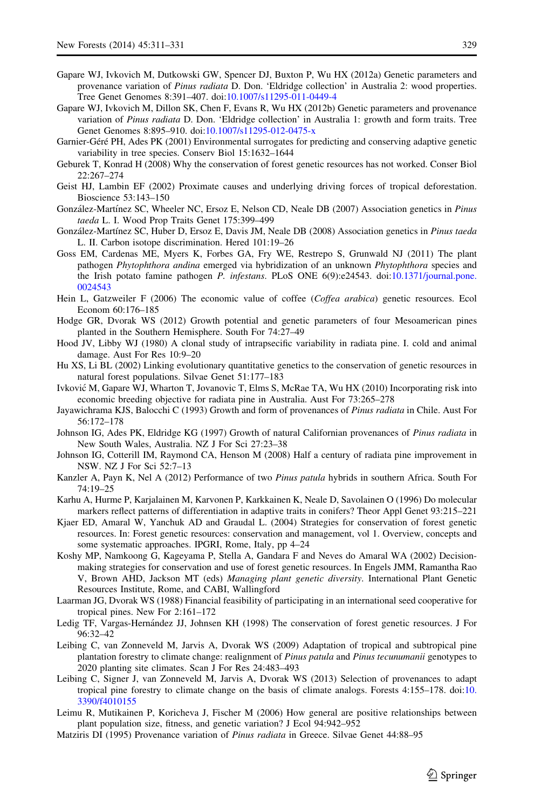- <span id="page-18-0"></span>Gapare WJ, Ivkovich M, Dutkowski GW, Spencer DJ, Buxton P, Wu HX (2012a) Genetic parameters and provenance variation of Pinus radiata D. Don. 'Eldridge collection' in Australia 2: wood properties. Tree Genet Genomes 8:391–407. doi:[10.1007/s11295-011-0449-4](http://dx.doi.org/10.1007/s11295-011-0449-4)
- Gapare WJ, Ivkovich M, Dillon SK, Chen F, Evans R, Wu HX (2012b) Genetic parameters and provenance variation of Pinus radiata D. Don. 'Eldridge collection' in Australia 1: growth and form traits. Tree Genet Genomes 8:895–910. doi[:10.1007/s11295-012-0475-x](http://dx.doi.org/10.1007/s11295-012-0475-x)
- Garnier-Géré PH, Ades PK (2001) Environmental surrogates for predicting and conserving adaptive genetic variability in tree species. Conserv Biol 15:1632–1644
- Geburek T, Konrad H (2008) Why the conservation of forest genetic resources has not worked. Conser Biol 22:267–274
- Geist HJ, Lambin EF (2002) Proximate causes and underlying driving forces of tropical deforestation. Bioscience 53:143–150
- González-Martínez SC, Wheeler NC, Ersoz E, Nelson CD, Neale DB (2007) Association genetics in Pinus taeda L. I. Wood Prop Traits Genet 175:399–499
- González-Martínez SC, Huber D, Ersoz E, Davis JM, Neale DB (2008) Association genetics in Pinus taeda L. II. Carbon isotope discrimination. Hered 101:19–26
- Goss EM, Cardenas ME, Myers K, Forbes GA, Fry WE, Restrepo S, Grunwald NJ (2011) The plant pathogen Phytophthora andina emerged via hybridization of an unknown Phytophthora species and the Irish potato famine pathogen P. infestans. PLoS ONE 6(9):e24543. doi[:10.1371/journal.pone.](http://dx.doi.org/10.1371/journal.pone.0024543) [0024543](http://dx.doi.org/10.1371/journal.pone.0024543)
- Hein L, Gatzweiler F (2006) The economic value of coffee (Coffea arabica) genetic resources. Ecol Econom 60:176–185
- Hodge GR, Dvorak WS (2012) Growth potential and genetic parameters of four Mesoamerican pines planted in the Southern Hemisphere. South For 74:27–49
- Hood JV, Libby WJ (1980) A clonal study of intrapsecific variability in radiata pine. I. cold and animal damage. Aust For Res 10:9–20
- Hu XS, Li BL (2002) Linking evolutionary quantitative genetics to the conservation of genetic resources in natural forest populations. Silvae Genet 51:177–183
- Ivkovic´ M, Gapare WJ, Wharton T, Jovanovic T, Elms S, McRae TA, Wu HX (2010) Incorporating risk into economic breeding objective for radiata pine in Australia. Aust For 73:265–278
- Jayawichrama KJS, Balocchi C (1993) Growth and form of provenances of Pinus radiata in Chile. Aust For 56:172–178
- Johnson IG, Ades PK, Eldridge KG (1997) Growth of natural Californian provenances of Pinus radiata in New South Wales, Australia. NZ J For Sci 27:23–38
- Johnson IG, Cotterill IM, Raymond CA, Henson M (2008) Half a century of radiata pine improvement in NSW. NZ J For Sci 52:7–13
- Kanzler A, Payn K, Nel A (2012) Performance of two Pinus patula hybrids in southern Africa. South For 74:19–25
- Karhu A, Hurme P, Karjalainen M, Karvonen P, Karkkainen K, Neale D, Savolainen O (1996) Do molecular markers reflect patterns of differentiation in adaptive traits in conifers? Theor Appl Genet 93:215–221
- Kjaer ED, Amaral W, Yanchuk AD and Graudal L. (2004) Strategies for conservation of forest genetic resources. In: Forest genetic resources: conservation and management, vol 1. Overview, concepts and some systematic approaches. IPGRI, Rome, Italy, pp 4–24
- Koshy MP, Namkoong G, Kageyama P, Stella A, Gandara F and Neves do Amaral WA (2002) Decisionmaking strategies for conservation and use of forest genetic resources. In Engels JMM, Ramantha Rao V, Brown AHD, Jackson MT (eds) Managing plant genetic diversity. International Plant Genetic Resources Institute, Rome, and CABI, Wallingford
- Laarman JG, Dvorak WS (1988) Financial feasibility of participating in an international seed cooperative for tropical pines. New For 2:161–172
- Ledig TF, Vargas-Hernández JJ, Johnsen KH (1998) The conservation of forest genetic resources. J For 96:32–42
- Leibing C, van Zonneveld M, Jarvis A, Dvorak WS (2009) Adaptation of tropical and subtropical pine plantation forestry to climate change: realignment of Pinus patula and Pinus tecunumanii genotypes to 2020 planting site climates. Scan J For Res 24:483–493
- Leibing C, Signer J, van Zonneveld M, Jarvis A, Dvorak WS (2013) Selection of provenances to adapt tropical pine forestry to climate change on the basis of climate analogs. Forests 4:155–178. doi:[10.](http://dx.doi.org/10.3390/f4010155) [3390/f4010155](http://dx.doi.org/10.3390/f4010155)
- Leimu R, Mutikainen P, Koricheva J, Fischer M (2006) How general are positive relationships between plant population size, fitness, and genetic variation? J Ecol 94:942–952
- Matziris DI (1995) Provenance variation of Pinus radiata in Greece. Silvae Genet 44:88–95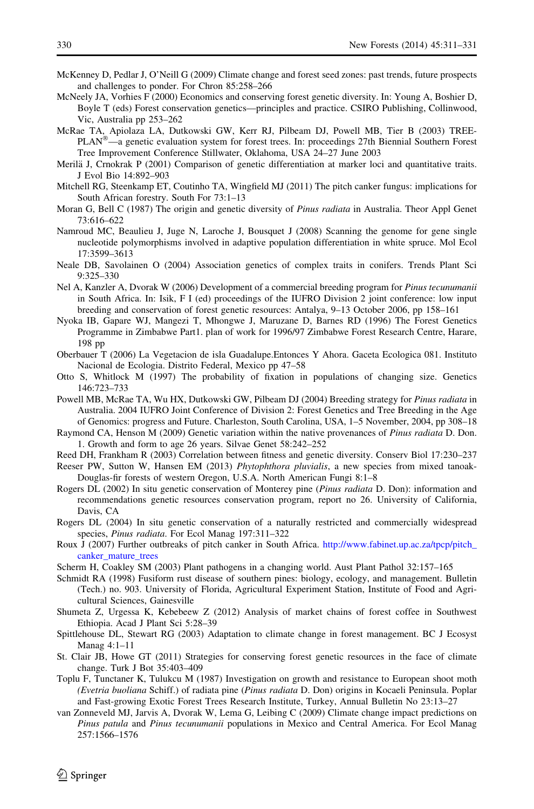- <span id="page-19-0"></span>McKenney D, Pedlar J, O'Neill G (2009) Climate change and forest seed zones: past trends, future prospects and challenges to ponder. For Chron 85:258–266
- McNeely JA, Vorhies F (2000) Economics and conserving forest genetic diversity. In: Young A, Boshier D, Boyle T (eds) Forest conservation genetics—principles and practice. CSIRO Publishing, Collinwood, Vic, Australia pp 253–262
- McRae TA, Apiolaza LA, Dutkowski GW, Kerr RJ, Pilbeam DJ, Powell MB, Tier B (2003) TREE-PLAN<sup>®</sup>—a genetic evaluation system for forest trees. In: proceedings 27th Biennial Southern Forest Tree Improvement Conference Stillwater, Oklahoma, USA 24–27 June 2003
- Merilä J, Crnokrak P (2001) Comparison of genetic differentiation at marker loci and quantitative traits. J Evol Bio 14:892–903
- Mitchell RG, Steenkamp ET, Coutinho TA, Wingfield MJ (2011) The pitch canker fungus: implications for South African forestry. South For 73:1–13
- Moran G, Bell C (1987) The origin and genetic diversity of *Pinus radiata* in Australia. Theor Appl Genet 73:616–622
- Namroud MC, Beaulieu J, Juge N, Laroche J, Bousquet J (2008) Scanning the genome for gene single nucleotide polymorphisms involved in adaptive population differentiation in white spruce. Mol Ecol 17:3599–3613
- Neale DB, Savolainen O (2004) Association genetics of complex traits in conifers. Trends Plant Sci 9:325–330
- Nel A, Kanzler A, Dvorak W (2006) Development of a commercial breeding program for Pinus tecunumanii in South Africa. In: Isik, F I (ed) proceedings of the IUFRO Division 2 joint conference: low input breeding and conservation of forest genetic resources: Antalya, 9–13 October 2006, pp 158–161
- Nyoka IB, Gapare WJ, Mangezi T, Mhongwe J, Maruzane D, Barnes RD (1996) The Forest Genetics Programme in Zimbabwe Part1. plan of work for 1996/97 Zimbabwe Forest Research Centre, Harare, 198 pp
- Oberbauer T (2006) La Vegetacion de isla Guadalupe.Entonces Y Ahora. Gaceta Ecologica 081. Instituto Nacional de Ecologia. Distrito Federal, Mexico pp 47–58
- Otto S, Whitlock M (1997) The probability of fixation in populations of changing size. Genetics 146:723–733

Powell MB, McRae TA, Wu HX, Dutkowski GW, Pilbeam DJ (2004) Breeding strategy for Pinus radiata in Australia. 2004 IUFRO Joint Conference of Division 2: Forest Genetics and Tree Breeding in the Age of Genomics: progress and Future. Charleston, South Carolina, USA, 1–5 November, 2004, pp 308–18

Raymond CA, Henson M (2009) Genetic variation within the native provenances of Pinus radiata D. Don. 1. Growth and form to age 26 years. Silvae Genet 58:242–252

Reed DH, Frankham R (2003) Correlation between fitness and genetic diversity. Conserv Biol 17:230–237

- Reeser PW, Sutton W, Hansen EM (2013) Phytophthora pluvialis, a new species from mixed tanoak-Douglas-fir forests of western Oregon, U.S.A. North American Fungi 8:1–8
- Rogers DL (2002) In situ genetic conservation of Monterey pine (Pinus radiata D. Don): information and recommendations genetic resources conservation program, report no 26. University of California, Davis, CA
- Rogers DL (2004) In situ genetic conservation of a naturally restricted and commercially widespread species, Pinus radiata. For Ecol Manag 197:311–322
- Roux J (2007) Further outbreaks of pitch canker in South Africa. [http://www.fabinet.up.ac.za/tpcp/pitch\\_](http://www.fabinet.up.ac.za/tpcp/pitch_canker_mature_trees) [canker\\_mature\\_trees](http://www.fabinet.up.ac.za/tpcp/pitch_canker_mature_trees)
- Scherm H, Coakley SM (2003) Plant pathogens in a changing world. Aust Plant Pathol 32:157–165
- Schmidt RA (1998) Fusiform rust disease of southern pines: biology, ecology, and management. Bulletin (Tech.) no. 903. University of Florida, Agricultural Experiment Station, Institute of Food and Agricultural Sciences, Gainesville
- Shumeta Z, Urgessa K, Kebebeew Z (2012) Analysis of market chains of forest coffee in Southwest Ethiopia. Acad J Plant Sci 5:28–39
- Spittlehouse DL, Stewart RG (2003) Adaptation to climate change in forest management. BC J Ecosyst Manag 4:1–11
- St. Clair JB, Howe GT (2011) Strategies for conserving forest genetic resources in the face of climate change. Turk J Bot 35:403–409
- Toplu F, Tunctaner K, Tulukcu M (1987) Investigation on growth and resistance to European shoot moth (Evetria buoliana Schiff.) of radiata pine (Pinus radiata D. Don) origins in Kocaeli Peninsula. Poplar and Fast-growing Exotic Forest Trees Research Institute, Turkey, Annual Bulletin No 23:13–27
- van Zonneveld MJ, Jarvis A, Dvorak W, Lema G, Leibing C (2009) Climate change impact predictions on Pinus patula and Pinus tecunumanii populations in Mexico and Central America. For Ecol Manag 257:1566–1576